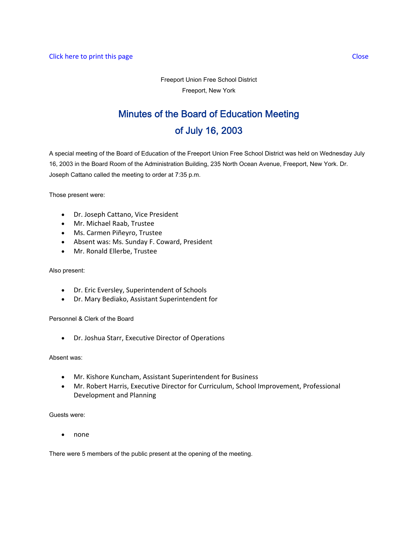# Minutes of the Board of Education Meeting of July 16, 2003

A special meeting of the Board of Education of the Freeport Union Free School District was held on Wednesday July 16, 2003 in the Board Room of the Administration Building, 235 North Ocean Avenue, Freeport, New York. Dr. Joseph Cattano called the meeting to order at 7:35 p.m.

Those present were:

- Dr. Joseph Cattano, Vice President
- Mr. Michael Raab, Trustee
- Ms. Carmen Piñeyro, Trustee
- Absent was: Ms. Sunday F. Coward, President
- Mr. Ronald Ellerbe, Trustee

#### Also present:

- Dr. Eric Eversley, Superintendent of Schools
- Dr. Mary Bediako, Assistant Superintendent for

Personnel & Clerk of the Board

• Dr. Joshua Starr, Executive Director of Operations

#### Absent was:

- Mr. Kishore Kuncham, Assistant Superintendent for Business
- Mr. Robert Harris, Executive Director for Curriculum, School Improvement, Professional Development and Planning

Guests were:

• none

There were 5 members of the public present at the opening of the meeting.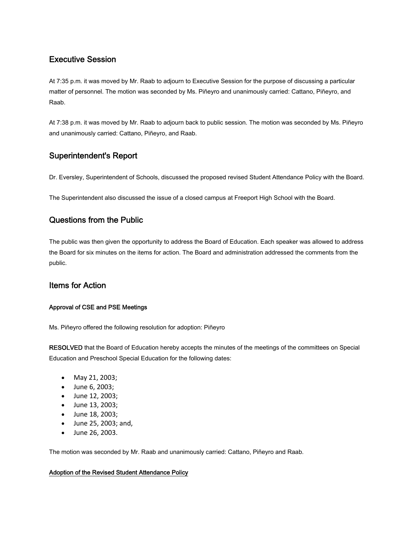# Executive Session

At 7:35 p.m. it was moved by Mr. Raab to adjourn to Executive Session for the purpose of discussing a particular matter of personnel. The motion was seconded by Ms. Piñeyro and unanimously carried: Cattano, Piñeyro, and Raab.

At 7:38 p.m. it was moved by Mr. Raab to adjourn back to public session. The motion was seconded by Ms. Piñeyro and unanimously carried: Cattano, Piñeyro, and Raab.

# Superintendent's Report

Dr. Eversley, Superintendent of Schools, discussed the proposed revised Student Attendance Policy with the Board.

The Superintendent also discussed the issue of a closed campus at Freeport High School with the Board.

# Questions from the Public

The public was then given the opportunity to address the Board of Education. Each speaker was allowed to address the Board for six minutes on the items for action. The Board and administration addressed the comments from the public.

### Items for Action

#### Approval of CSE and PSE Meetings

Ms. Piñeyro offered the following resolution for adoption: Piñeyro

RESOLVED that the Board of Education hereby accepts the minutes of the meetings of the committees on Special Education and Preschool Special Education for the following dates:

- May 21, 2003;
- June 6, 2003;
- June 12, 2003;
- June 13, 2003;
- June 18, 2003;
- June 25, 2003; and,
- June 26, 2003.

The motion was seconded by Mr. Raab and unanimously carried: Cattano, Piñeyro and Raab.

#### Adoption of the Revised Student Attendance Policy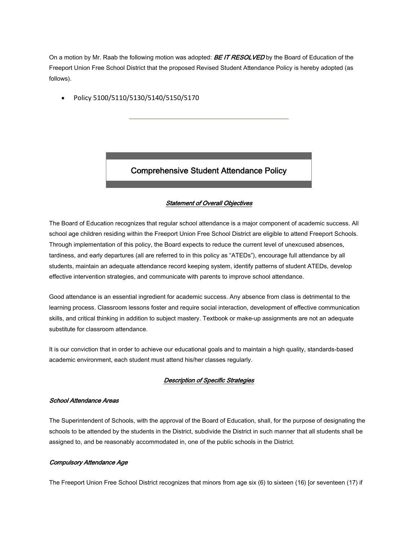On a motion by Mr. Raab the following motion was adopted: **BE IT RESOLVED** by the Board of Education of the Freeport Union Free School District that the proposed Revised Student Attendance Policy is hereby adopted (as follows).

• Policy 5100/5110/5130/5140/5150/5170

# Comprehensive Student Attendance Policy

#### Statement of Overall Objectives

The Board of Education recognizes that regular school attendance is a major component of academic success. All school age children residing within the Freeport Union Free School District are eligible to attend Freeport Schools. Through implementation of this policy, the Board expects to reduce the current level of unexcused absences, tardiness, and early departures (all are referred to in this policy as "ATEDs"), encourage full attendance by all students, maintain an adequate attendance record keeping system, identify patterns of student ATEDs, develop effective intervention strategies, and communicate with parents to improve school attendance.

Good attendance is an essential ingredient for academic success. Any absence from class is detrimental to the learning process. Classroom lessons foster and require social interaction, development of effective communication skills, and critical thinking in addition to subject mastery. Textbook or make-up assignments are not an adequate substitute for classroom attendance.

It is our conviction that in order to achieve our educational goals and to maintain a high quality, standards-based academic environment, each student must attend his/her classes regularly.

#### Description of Specific Strategies

#### School Attendance Areas

The Superintendent of Schools, with the approval of the Board of Education, shall, for the purpose of designating the schools to be attended by the students in the District, subdivide the District in such manner that all students shall be assigned to, and be reasonably accommodated in, one of the public schools in the District.

#### Compulsory Attendance Age

The Freeport Union Free School District recognizes that minors from age six (6) to sixteen (16) [or seventeen (17) if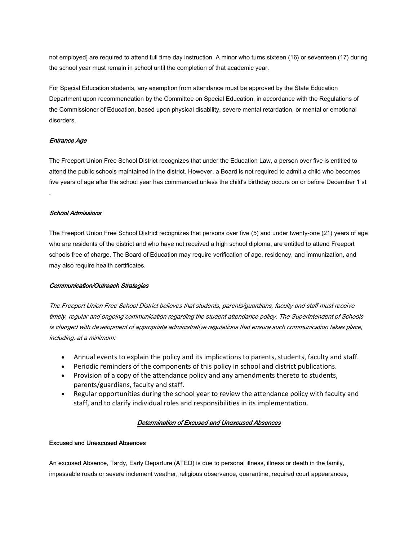not employed] are required to attend full time day instruction. A minor who turns sixteen (16) or seventeen (17) during the school year must remain in school until the completion of that academic year.

For Special Education students, any exemption from attendance must be approved by the State Education Department upon recommendation by the Committee on Special Education, in accordance with the Regulations of the Commissioner of Education, based upon physical disability, severe mental retardation, or mental or emotional disorders.

#### Entrance Age

.

The Freeport Union Free School District recognizes that under the Education Law, a person over five is entitled to attend the public schools maintained in the district. However, a Board is not required to admit a child who becomes five years of age after the school year has commenced unless the child's birthday occurs on or before December 1 st

#### School Admissions

The Freeport Union Free School District recognizes that persons over five (5) and under twenty-one (21) years of age who are residents of the district and who have not received a high school diploma, are entitled to attend Freeport schools free of charge. The Board of Education may require verification of age, residency, and immunization, and may also require health certificates.

#### Communication/Outreach Strategies

The Freeport Union Free School District believes that students, parents/guardians, faculty and staff must receive timely, regular and ongoing communication regarding the student attendance policy. The Superintendent of Schools is charged with development of appropriate administrative regulations that ensure such communication takes place, including, at a minimum:

- Annual events to explain the policy and its implications to parents, students, faculty and staff.
- Periodic reminders of the components of this policy in school and district publications.
- Provision of a copy of the attendance policy and any amendments thereto to students, parents/guardians, faculty and staff.
- Regular opportunities during the school year to review the attendance policy with faculty and staff, and to clarify individual roles and responsibilities in its implementation.

#### Determination of Excused and Unexcused Absences

#### Excused and Unexcused Absences

An excused Absence, Tardy, Early Departure (ATED) is due to personal illness, illness or death in the family, impassable roads or severe inclement weather, religious observance, quarantine, required court appearances,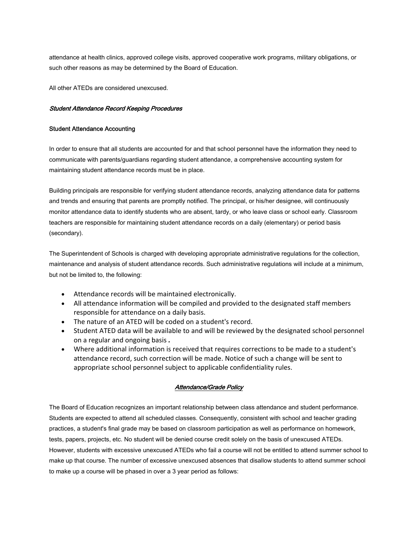attendance at health clinics, approved college visits, approved cooperative work programs, military obligations, or such other reasons as may be determined by the Board of Education.

All other ATEDs are considered unexcused.

#### Student Attendance Record Keeping Procedures

#### Student Attendance Accounting

In order to ensure that all students are accounted for and that school personnel have the information they need to communicate with parents/guardians regarding student attendance, a comprehensive accounting system for maintaining student attendance records must be in place.

Building principals are responsible for verifying student attendance records, analyzing attendance data for patterns and trends and ensuring that parents are promptly notified. The principal, or his/her designee, will continuously monitor attendance data to identify students who are absent, tardy, or who leave class or school early. Classroom teachers are responsible for maintaining student attendance records on a daily (elementary) or period basis (secondary).

The Superintendent of Schools is charged with developing appropriate administrative regulations for the collection, maintenance and analysis of student attendance records. Such administrative regulations will include at a minimum, but not be limited to, the following:

- Attendance records will be maintained electronically.
- All attendance information will be compiled and provided to the designated staff members responsible for attendance on a daily basis.
- The nature of an ATED will be coded on a student's record.
- Student ATED data will be available to and will be reviewed by the designated school personnel on a regular and ongoing basis *.*
- Where additional information is received that requires corrections to be made to a student's attendance record, such correction will be made. Notice of such a change will be sent to appropriate school personnel subject to applicable confidentiality rules.

#### Attendance/Grade Policy

The Board of Education recognizes an important relationship between class attendance and student performance. Students are expected to attend all scheduled classes. Consequently, consistent with school and teacher grading practices, a student's final grade may be based on classroom participation as well as performance on homework, tests, papers, projects, etc. No student will be denied course credit solely on the basis of unexcused ATEDs. However, students with excessive unexcused ATEDs who fail a course will not be entitled to attend summer school to make up that course. The number of excessive unexcused absences that disallow students to attend summer school to make up a course will be phased in over a 3 year period as follows: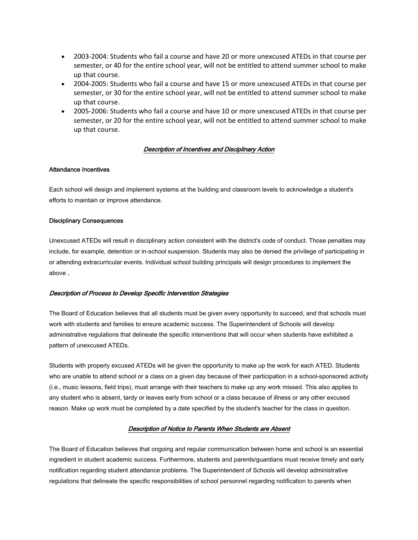- 2003‐2004: Students who fail a course and have 20 or more unexcused ATEDs in that course per semester, or 40 for the entire school year, will not be entitled to attend summer school to make up that course.
- 2004-2005: Students who fail a course and have 15 or more unexcused ATEDs in that course per semester, or 30 for the entire school year, will not be entitled to attend summer school to make up that course.
- 2005‐2006: Students who fail a course and have 10 or more unexcused ATEDs in that course per semester, or 20 for the entire school year, will not be entitled to attend summer school to make up that course.

#### Description of Incentives and Disciplinary Action

#### Attendance Incentives

Each school will design and implement systems at the building and classroom levels to acknowledge a student's efforts to maintain or improve attendance.

#### Disciplinary Consequences

Unexcused ATEDs will result in disciplinary action consistent with the district's code of conduct. Those penalties may include, for example, detention or in-school suspension. Students may also be denied the privilege of participating in or attending extracurricular events. Individual school building principals will design procedures to implement the above .

#### Description of Process to Develop Specific Intervention Strategies

The Board of Education believes that all students must be given every opportunity to succeed, and that schools must work with students and families to ensure academic success. The Superintendent of Schools will develop administrative regulations that delineate the specific interventions that will occur when students have exhibited a pattern of unexcused ATEDs.

Students with properly excused ATEDs will be given the opportunity to make up the work for each ATED. Students who are unable to attend school or a class on a given day because of their participation in a school-sponsored activity (i.e., music lessons, field trips), must arrange with their teachers to make up any work missed. This also applies to any student who is absent, tardy or leaves early from school or a class because of illness or any other excused reason. Make up work must be completed by a date specified by the student's teacher for the class in question.

#### Description of Notice to Parents When Students are Absent

The Board of Education believes that ongoing and regular communication between home and school is an essential ingredient in student academic success. Furthermore, students and parents/guardians must receive timely and early notification regarding student attendance problems. The Superintendent of Schools will develop administrative regulations that delineate the specific responsibilities of school personnel regarding notification to parents when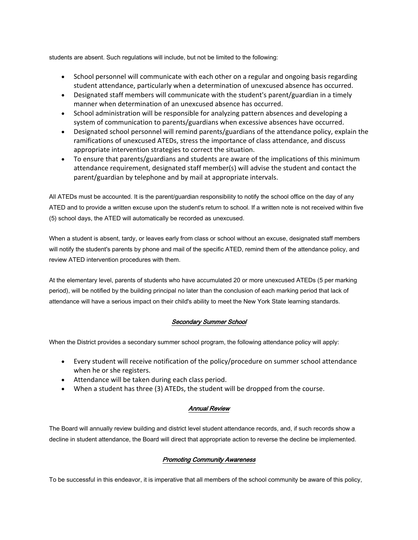students are absent. Such regulations will include, but not be limited to the following:

- School personnel will communicate with each other on a regular and ongoing basis regarding student attendance, particularly when a determination of unexcused absence has occurred.
- Designated staff members will communicate with the student's parent/guardian in a timely manner when determination of an unexcused absence has occurred.
- School administration will be responsible for analyzing pattern absences and developing a system of communication to parents/guardians when excessive absences have occurred.
- Designated school personnel will remind parents/guardians of the attendance policy, explain the ramifications of unexcused ATEDs, stress the importance of class attendance, and discuss appropriate intervention strategies to correct the situation.
- To ensure that parents/guardians and students are aware of the implications of this minimum attendance requirement, designated staff member(s) will advise the student and contact the parent/guardian by telephone and by mail at appropriate intervals.

All ATEDs must be accounted. It is the parent/guardian responsibility to notify the school office on the day of any ATED and to provide a written excuse upon the student's return to school. If a written note is not received within five (5) school days, the ATED will automatically be recorded as unexcused.

When a student is absent, tardy, or leaves early from class or school without an excuse, designated staff members will notify the student's parents by phone and mail of the specific ATED, remind them of the attendance policy, and review ATED intervention procedures with them.

At the elementary level, parents of students who have accumulated 20 or more unexcused ATEDs (5 per marking period), will be notified by the building principal no later than the conclusion of each marking period that lack of attendance will have a serious impact on their child's ability to meet the New York State learning standards.

### Secondary Summer School

When the District provides a secondary summer school program, the following attendance policy will apply:

- Every student will receive notification of the policy/procedure on summer school attendance when he or she registers.
- Attendance will be taken during each class period.
- When a student has three (3) ATEDs, the student will be dropped from the course.

### Annual Review

The Board will annually review building and district level student attendance records, and, if such records show a decline in student attendance, the Board will direct that appropriate action to reverse the decline be implemented.

### Promoting Community Awareness

To be successful in this endeavor, it is imperative that all members of the school community be aware of this policy,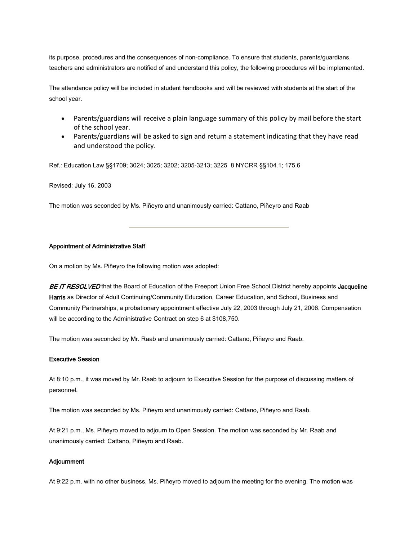its purpose, procedures and the consequences of non-compliance. To ensure that students, parents/guardians, teachers and administrators are notified of and understand this policy, the following procedures will be implemented.

The attendance policy will be included in student handbooks and will be reviewed with students at the start of the school year.

- Parents/guardians will receive a plain language summary of this policy by mail before the start of the school year.
- Parents/guardians will be asked to sign and return a statement indicating that they have read and understood the policy.

Ref.: Education Law §§1709; 3024; 3025; 3202; 3205-3213; 3225 8 NYCRR §§104.1; 175.6

Revised: July 16, 2003

The motion was seconded by Ms. Piñeyro and unanimously carried: Cattano, Piñeyro and Raab

#### Appointment of Administrative Staff

On a motion by Ms. Piñeyro the following motion was adopted:

BE IT RESOLVED that the Board of Education of the Freeport Union Free School District hereby appoints Jacqueline Harris as Director of Adult Continuing/Community Education, Career Education, and School, Business and Community Partnerships, a probationary appointment effective July 22, 2003 through July 21, 2006. Compensation will be according to the Administrative Contract on step 6 at \$108,750.

The motion was seconded by Mr. Raab and unanimously carried: Cattano, Piñeyro and Raab.

#### Executive Session

At 8:10 p.m., it was moved by Mr. Raab to adjourn to Executive Session for the purpose of discussing matters of personnel.

The motion was seconded by Ms. Piñeyro and unanimously carried: Cattano, Piñeyro and Raab.

At 9:21 p.m., Ms. Piñeyro moved to adjourn to Open Session. The motion was seconded by Mr. Raab and unanimously carried: Cattano, Piñeyro and Raab.

#### **Adjournment**

At 9:22 p.m. with no other business, Ms. Piñeyro moved to adjourn the meeting for the evening. The motion was